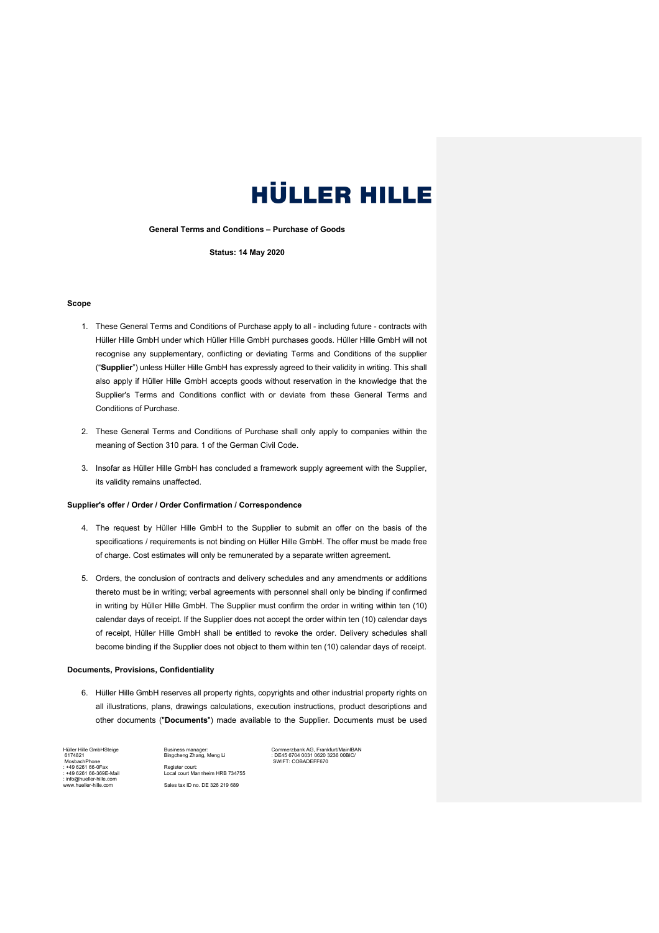**General Terms and Conditions – Purchase of Goods**

**Status: 14 May 2020**

#### **Scope**

- 1. These General Terms and Conditions of Purchase apply to all including future contracts with Hüller Hille GmbH under which Hüller Hille GmbH purchases goods. Hüller Hille GmbH will not recognise any supplementary, conflicting or deviating Terms and Conditions of the supplier ("**Supplier**") unless Hüller Hille GmbH has expressly agreed to their validity in writing. This shall also apply if Hüller Hille GmbH accepts goods without reservation in the knowledge that the Supplier's Terms and Conditions conflict with or deviate from these General Terms and Conditions of Purchase.
- 2. These General Terms and Conditions of Purchase shall only apply to companies within the meaning of Section 310 para. 1 of the German Civil Code.
- 3. Insofar as Hüller Hille GmbH has concluded a framework supply agreement with the Supplier, its validity remains unaffected.

#### **Supplier's offer / Order / Order Confirmation / Correspondence**

- 4. The request by Hüller Hille GmbH to the Supplier to submit an offer on the basis of the specifications / requirements is not binding on Hüller Hille GmbH. The offer must be made free of charge. Cost estimates will only be remunerated by a separate written agreement.
- 5. Orders, the conclusion of contracts and delivery schedules and any amendments or additions thereto must be in writing; verbal agreements with personnel shall only be binding if confirmed in writing by Hüller Hille GmbH. The Supplier must confirm the order in writing within ten (10) calendar days of receipt. If the Supplier does not accept the order within ten (10) calendar days of receipt, Hüller Hille GmbH shall be entitled to revoke the order. Delivery schedules shall become binding if the Supplier does not object to them within ten (10) calendar days of receipt.

#### **Documents, Provisions, Confidentiality**

6. Hüller Hille GmbH reserves all property rights, copyrights and other industrial property rights on all illustrations, plans, drawings calculations, execution instructions, product descriptions and other documents ("**Documents**") made available to the Supplier. Documents must be used

Hüller Hille GmbHSteige 6174821 MosbachPhone : +49 6261 66-0Fax : +49 6261 66-369E-Mail : info@hueller-hille.com www.hueller-hille.com

Business manager: Bingcheng Zhang, Meng Li Register court: Local court Mannheim HRB 734755 Sales tax ID no. DE 326 219 689

Commerzbank AG, Frankfurt/MainIBAN : DE45 6704 0031 0620 3236 00BIC/ SWIFT: COBADEFF670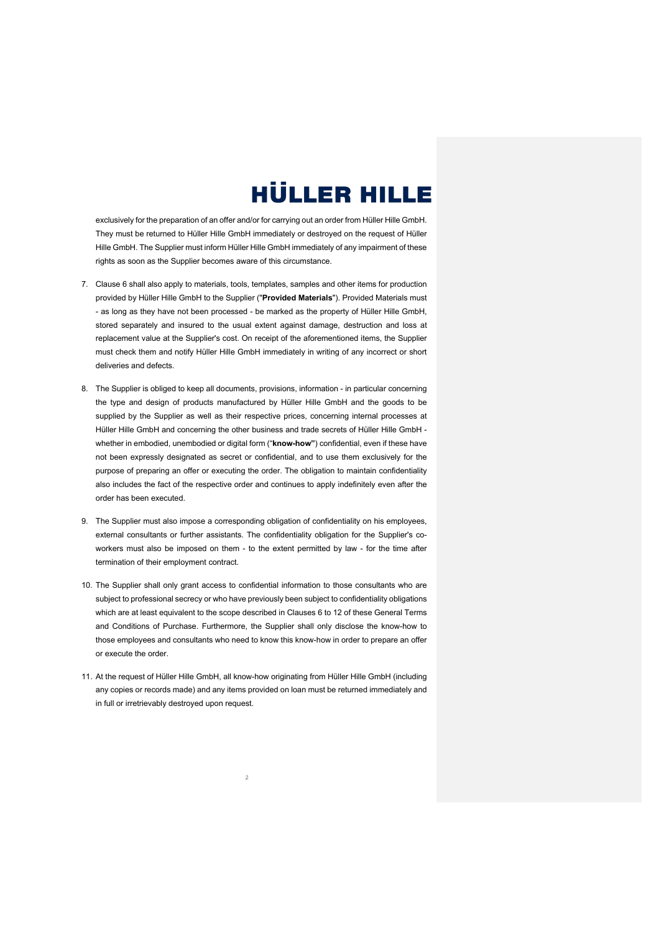exclusively for the preparation of an offer and/or for carrying out an order from Hüller Hille GmbH. They must be returned to Hüller Hille GmbH immediately or destroyed on the request of Hüller Hille GmbH. The Supplier must inform Hüller Hille GmbH immediately of any impairment of these rights as soon as the Supplier becomes aware of this circumstance.

- 7. Clause 6 shall also apply to materials, tools, templates, samples and other items for production provided by Hüller Hille GmbH to the Supplier ("**Provided Materials**"). Provided Materials must - as long as they have not been processed - be marked as the property of Hüller Hille GmbH, stored separately and insured to the usual extent against damage, destruction and loss at replacement value at the Supplier's cost. On receipt of the aforementioned items, the Supplier must check them and notify Hüller Hille GmbH immediately in writing of any incorrect or short deliveries and defects.
- 8. The Supplier is obliged to keep all documents, provisions, information in particular concerning the type and design of products manufactured by Hüller Hille GmbH and the goods to be supplied by the Supplier as well as their respective prices, concerning internal processes at Hüller Hille GmbH and concerning the other business and trade secrets of Hüller Hille GmbH whether in embodied, unembodied or digital form ("**know-how"**) confidential, even if these have not been expressly designated as secret or confidential, and to use them exclusively for the purpose of preparing an offer or executing the order. The obligation to maintain confidentiality also includes the fact of the respective order and continues to apply indefinitely even after the order has been executed.
- 9. The Supplier must also impose a corresponding obligation of confidentiality on his employees, external consultants or further assistants. The confidentiality obligation for the Supplier's coworkers must also be imposed on them - to the extent permitted by law - for the time after termination of their employment contract.
- 10. The Supplier shall only grant access to confidential information to those consultants who are subject to professional secrecy or who have previously been subject to confidentiality obligations which are at least equivalent to the scope described in Clauses 6 to 12 of these General Terms and Conditions of Purchase. Furthermore, the Supplier shall only disclose the know-how to those employees and consultants who need to know this know-how in order to prepare an offer or execute the order.
- 11. At the request of Hüller Hille GmbH, all know-how originating from Hüller Hille GmbH (including any copies or records made) and any items provided on loan must be returned immediately and in full or irretrievably destroyed upon request.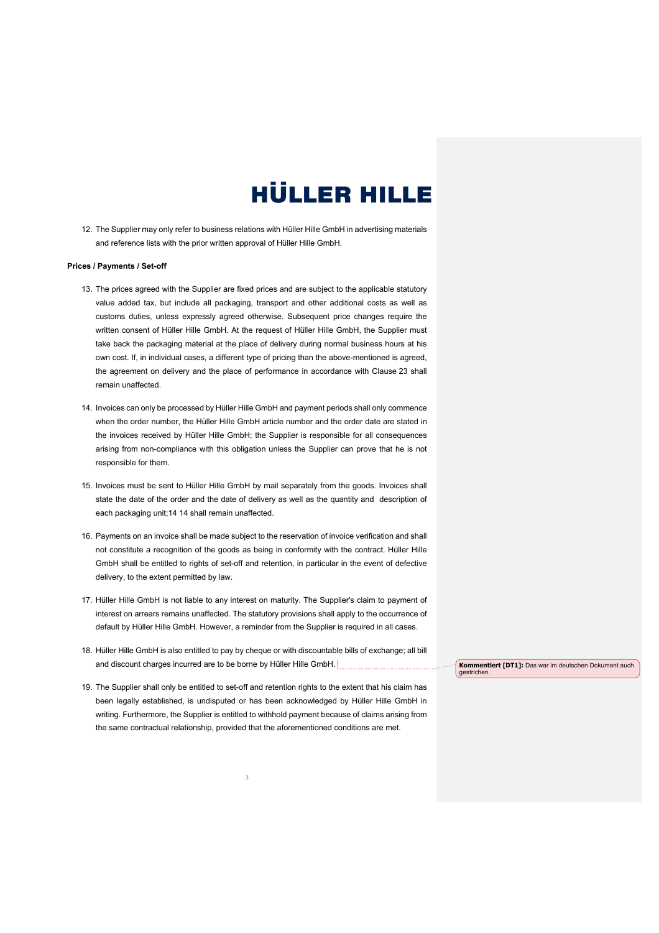12. The Supplier may only refer to business relations with Hüller Hille GmbH in advertising materials and reference lists with the prior written approval of Hüller Hille GmbH.

### **Prices / Payments / Set-off**

- 13. The prices agreed with the Supplier are fixed prices and are subject to the applicable statutory value added tax, but include all packaging, transport and other additional costs as well as customs duties, unless expressly agreed otherwise. Subsequent price changes require the written consent of Hüller Hille GmbH. At the request of Hüller Hille GmbH, the Supplier must take back the packaging material at the place of delivery during normal business hours at his own cost. If, in individual cases, a different type of pricing than the above-mentioned is agreed, the agreement on delivery and the place of performance in accordance with Clause 23 shall remain unaffected.
- 14. Invoices can only be processed by Hüller Hille GmbH and payment periods shall only commence when the order number, the Hüller Hille GmbH article number and the order date are stated in the invoices received by Hüller Hille GmbH; the Supplier is responsible for all consequences arising from non-compliance with this obligation unless the Supplier can prove that he is not responsible for them.
- 15. Invoices must be sent to Hüller Hille GmbH by mail separately from the goods. Invoices shall state the date of the order and the date of delivery as well as the quantity and description of each packaging unit;14 14 shall remain unaffected.
- 16. Payments on an invoice shall be made subject to the reservation of invoice verification and shall not constitute a recognition of the goods as being in conformity with the contract. Hüller Hille GmbH shall be entitled to rights of set-off and retention, in particular in the event of defective delivery, to the extent permitted by law.
- 17. Hüller Hille GmbH is not liable to any interest on maturity. The Supplier's claim to payment of interest on arrears remains unaffected. The statutory provisions shall apply to the occurrence of default by Hüller Hille GmbH. However, a reminder from the Supplier is required in all cases.
- 18. Hüller Hille GmbH is also entitled to pay by cheque or with discountable bills of exchange; all bill and discount charges incurred are to be borne by Hüller Hille GmbH.
- 19. The Supplier shall only be entitled to set-off and retention rights to the extent that his claim has been legally established, is undisputed or has been acknowledged by Hüller Hille GmbH in writing. Furthermore, the Supplier is entitled to withhold payment because of claims arising from the same contractual relationship, provided that the aforementioned conditions are met.

3

**Kommentiert [DT1]:** Das war im deutschen Dokument auch gestrichen.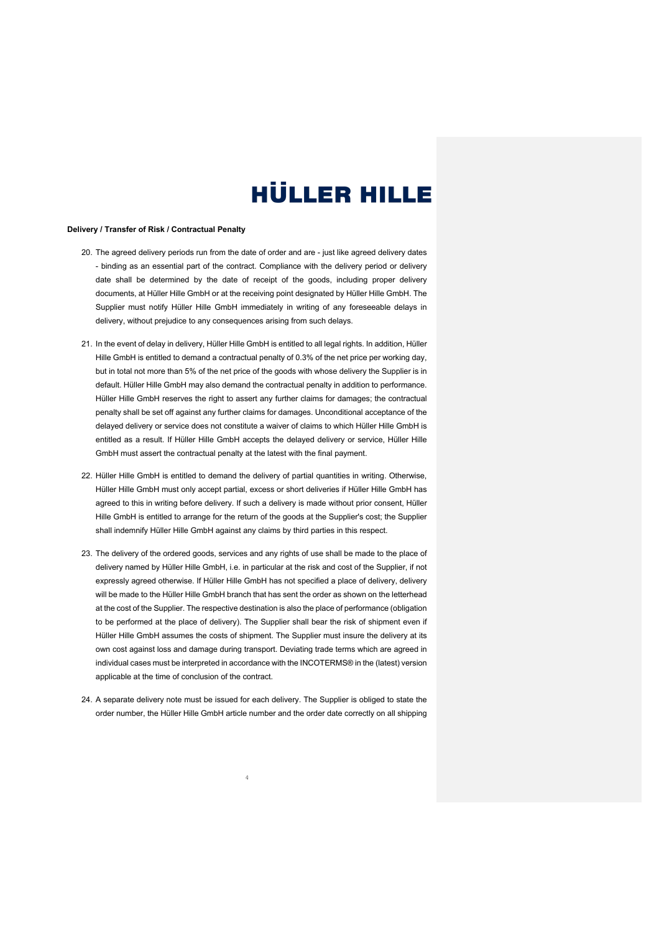#### **Delivery / Transfer of Risk / Contractual Penalty**

- 20. The agreed delivery periods run from the date of order and are just like agreed delivery dates - binding as an essential part of the contract. Compliance with the delivery period or delivery date shall be determined by the date of receipt of the goods, including proper delivery documents, at Hüller Hille GmbH or at the receiving point designated by Hüller Hille GmbH. The Supplier must notify Hüller Hille GmbH immediately in writing of any foreseeable delays in delivery, without prejudice to any consequences arising from such delays.
- 21. In the event of delay in delivery, Hüller Hille GmbH is entitled to all legal rights. In addition, Hüller Hille GmbH is entitled to demand a contractual penalty of 0.3% of the net price per working day, but in total not more than 5% of the net price of the goods with whose delivery the Supplier is in default. Hüller Hille GmbH may also demand the contractual penalty in addition to performance. Hüller Hille GmbH reserves the right to assert any further claims for damages; the contractual penalty shall be set off against any further claims for damages. Unconditional acceptance of the delayed delivery or service does not constitute a waiver of claims to which Hüller Hille GmbH is entitled as a result. If Hüller Hille GmbH accepts the delayed delivery or service, Hüller Hille GmbH must assert the contractual penalty at the latest with the final payment.
- 22. Hüller Hille GmbH is entitled to demand the delivery of partial quantities in writing. Otherwise, Hüller Hille GmbH must only accept partial, excess or short deliveries if Hüller Hille GmbH has agreed to this in writing before delivery. If such a delivery is made without prior consent, Hüller Hille GmbH is entitled to arrange for the return of the goods at the Supplier's cost; the Supplier shall indemnify Hüller Hille GmbH against any claims by third parties in this respect.
- 23. The delivery of the ordered goods, services and any rights of use shall be made to the place of delivery named by Hüller Hille GmbH, i.e. in particular at the risk and cost of the Supplier, if not expressly agreed otherwise. If Hüller Hille GmbH has not specified a place of delivery, delivery will be made to the Hüller Hille GmbH branch that has sent the order as shown on the letterhead at the cost of the Supplier. The respective destination is also the place of performance (obligation to be performed at the place of delivery). The Supplier shall bear the risk of shipment even if Hüller Hille GmbH assumes the costs of shipment. The Supplier must insure the delivery at its own cost against loss and damage during transport. Deviating trade terms which are agreed in individual cases must be interpreted in accordance with the INCOTERMS® in the (latest) version applicable at the time of conclusion of the contract.
- 24. A separate delivery note must be issued for each delivery. The Supplier is obliged to state the order number, the Hüller Hille GmbH article number and the order date correctly on all shipping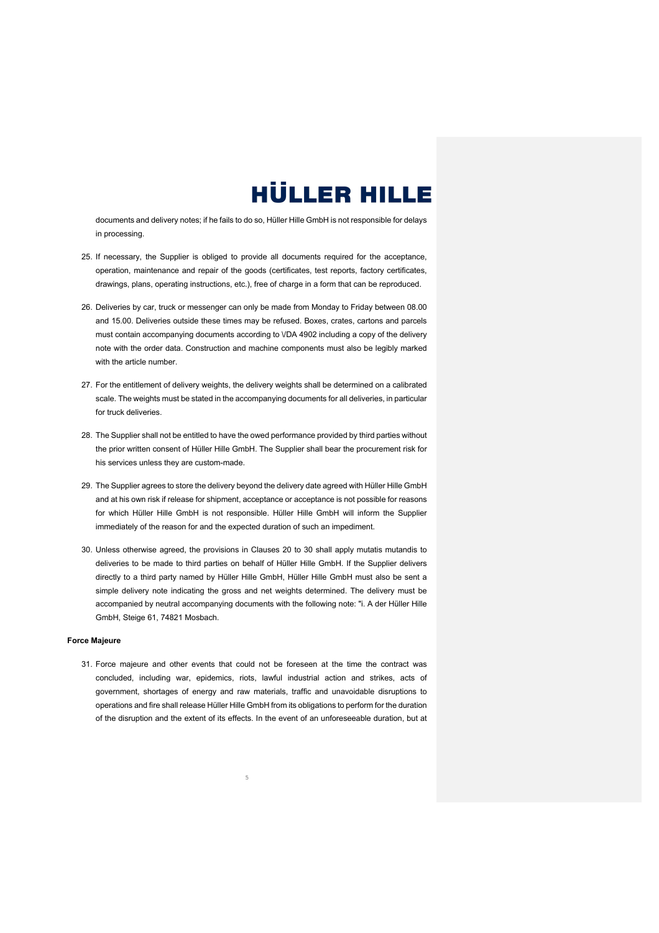documents and delivery notes; if he fails to do so, Hüller Hille GmbH is not responsible for delays in processing.

- 25. If necessary, the Supplier is obliged to provide all documents required for the acceptance, operation, maintenance and repair of the goods (certificates, test reports, factory certificates, drawings, plans, operating instructions, etc.), free of charge in a form that can be reproduced.
- 26. Deliveries by car, truck or messenger can only be made from Monday to Friday between 08.00 and 15.00. Deliveries outside these times may be refused. Boxes, crates, cartons and parcels must contain accompanying documents according to \/DA 4902 including a copy of the delivery note with the order data. Construction and machine components must also be legibly marked with the article number.
- 27. For the entitlement of delivery weights, the delivery weights shall be determined on a calibrated scale. The weights must be stated in the accompanying documents for all deliveries, in particular for truck deliveries.
- 28. The Supplier shall not be entitled to have the owed performance provided by third parties without the prior written consent of Hüller Hille GmbH. The Supplier shall bear the procurement risk for his services unless they are custom-made.
- 29. The Supplier agrees to store the delivery beyond the delivery date agreed with Hüller Hille GmbH and at his own risk if release for shipment, acceptance or acceptance is not possible for reasons for which Hüller Hille GmbH is not responsible. Hüller Hille GmbH will inform the Supplier immediately of the reason for and the expected duration of such an impediment.
- 30. Unless otherwise agreed, the provisions in Clauses 20 to 30 shall apply mutatis mutandis to deliveries to be made to third parties on behalf of Hüller Hille GmbH. If the Supplier delivers directly to a third party named by Hüller Hille GmbH, Hüller Hille GmbH must also be sent a simple delivery note indicating the gross and net weights determined. The delivery must be accompanied by neutral accompanying documents with the following note: "i. A der Hüller Hille GmbH, Steige 61, 74821 Mosbach.

#### **Force Majeure**

31. Force majeure and other events that could not be foreseen at the time the contract was concluded, including war, epidemics, riots, lawful industrial action and strikes, acts of government, shortages of energy and raw materials, traffic and unavoidable disruptions to operations and fire shall release Hüller Hille GmbH from its obligations to perform for the duration of the disruption and the extent of its effects. In the event of an unforeseeable duration, but at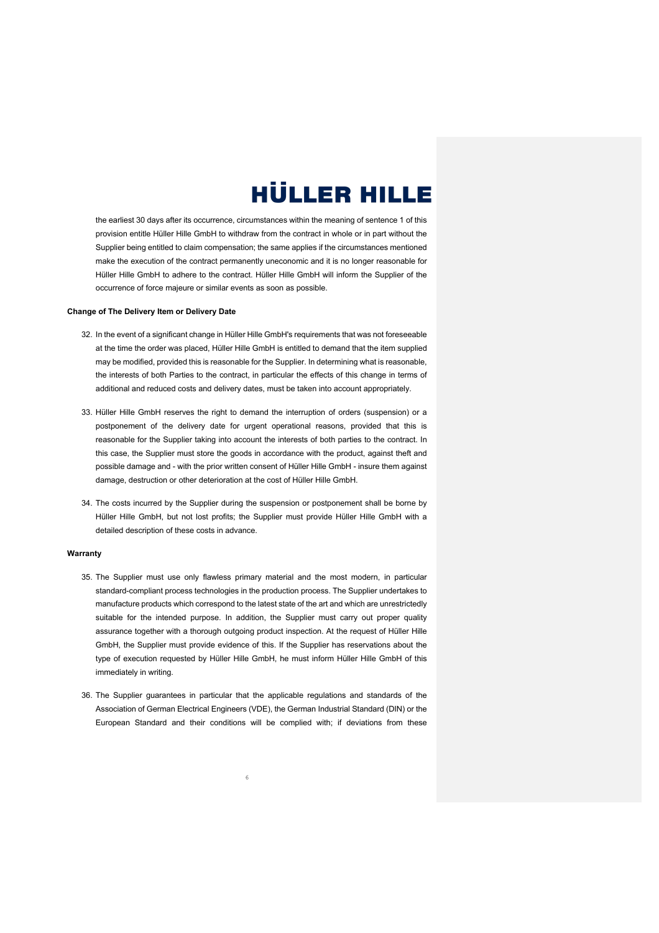the earliest 30 days after its occurrence, circumstances within the meaning of sentence 1 of this provision entitle Hüller Hille GmbH to withdraw from the contract in whole or in part without the Supplier being entitled to claim compensation; the same applies if the circumstances mentioned make the execution of the contract permanently uneconomic and it is no longer reasonable for Hüller Hille GmbH to adhere to the contract. Hüller Hille GmbH will inform the Supplier of the occurrence of force majeure or similar events as soon as possible.

#### **Change of The Delivery Item or Delivery Date**

- 32. In the event of a significant change in Hüller Hille GmbH's requirements that was not foreseeable at the time the order was placed, Hüller Hille GmbH is entitled to demand that the item supplied may be modified, provided this is reasonable for the Supplier. In determining what is reasonable, the interests of both Parties to the contract, in particular the effects of this change in terms of additional and reduced costs and delivery dates, must be taken into account appropriately.
- 33. Hüller Hille GmbH reserves the right to demand the interruption of orders (suspension) or a postponement of the delivery date for urgent operational reasons, provided that this is reasonable for the Supplier taking into account the interests of both parties to the contract. In this case, the Supplier must store the goods in accordance with the product, against theft and possible damage and - with the prior written consent of Hüller Hille GmbH - insure them against damage, destruction or other deterioration at the cost of Hüller Hille GmbH.
- 34. The costs incurred by the Supplier during the suspension or postponement shall be borne by Hüller Hille GmbH, but not lost profits; the Supplier must provide Hüller Hille GmbH with a detailed description of these costs in advance.

#### **Warranty**

- 35. The Supplier must use only flawless primary material and the most modern, in particular standard-compliant process technologies in the production process. The Supplier undertakes to manufacture products which correspond to the latest state of the art and which are unrestrictedly suitable for the intended purpose. In addition, the Supplier must carry out proper quality assurance together with a thorough outgoing product inspection. At the request of Hüller Hille GmbH, the Supplier must provide evidence of this. If the Supplier has reservations about the type of execution requested by Hüller Hille GmbH, he must inform Hüller Hille GmbH of this immediately in writing.
- 36. The Supplier guarantees in particular that the applicable regulations and standards of the Association of German Electrical Engineers (VDE), the German Industrial Standard (DIN) or the European Standard and their conditions will be complied with; if deviations from these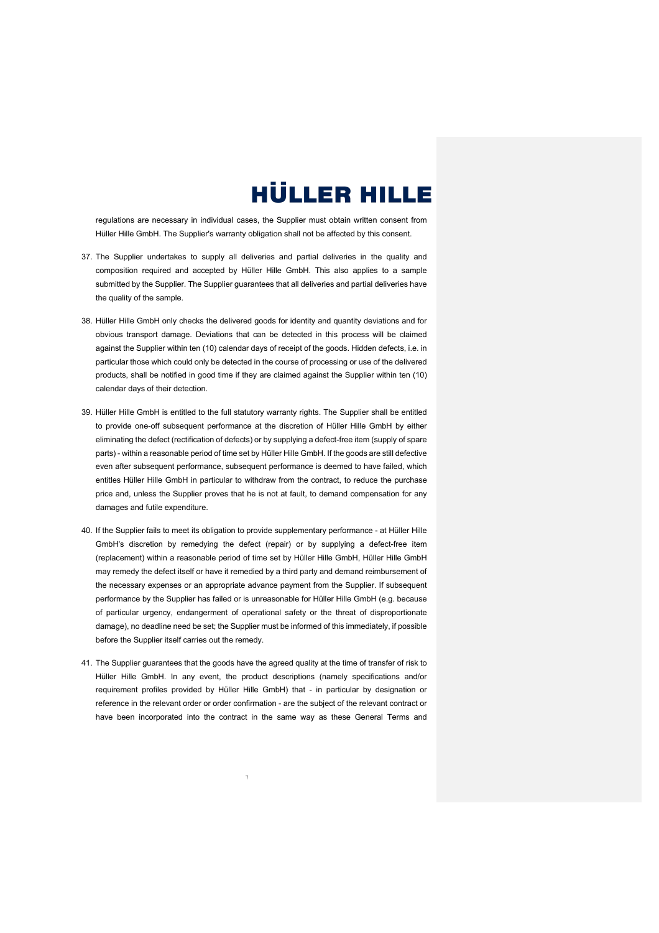regulations are necessary in individual cases, the Supplier must obtain written consent from Hüller Hille GmbH. The Supplier's warranty obligation shall not be affected by this consent.

- 37. The Supplier undertakes to supply all deliveries and partial deliveries in the quality and composition required and accepted by Hüller Hille GmbH. This also applies to a sample submitted by the Supplier. The Supplier guarantees that all deliveries and partial deliveries have the quality of the sample.
- 38. Hüller Hille GmbH only checks the delivered goods for identity and quantity deviations and for obvious transport damage. Deviations that can be detected in this process will be claimed against the Supplier within ten (10) calendar days of receipt of the goods. Hidden defects, i.e. in particular those which could only be detected in the course of processing or use of the delivered products, shall be notified in good time if they are claimed against the Supplier within ten (10) calendar days of their detection.
- 39. Hüller Hille GmbH is entitled to the full statutory warranty rights. The Supplier shall be entitled to provide one-off subsequent performance at the discretion of Hüller Hille GmbH by either eliminating the defect (rectification of defects) or by supplying a defect-free item (supply of spare parts) - within a reasonable period of time set by Hüller Hille GmbH. If the goods are still defective even after subsequent performance, subsequent performance is deemed to have failed, which entitles Hüller Hille GmbH in particular to withdraw from the contract, to reduce the purchase price and, unless the Supplier proves that he is not at fault, to demand compensation for any damages and futile expenditure.
- 40. If the Supplier fails to meet its obligation to provide supplementary performance at Hüller Hille GmbH's discretion by remedying the defect (repair) or by supplying a defect-free item (replacement) within a reasonable period of time set by Hüller Hille GmbH, Hüller Hille GmbH may remedy the defect itself or have it remedied by a third party and demand reimbursement of the necessary expenses or an appropriate advance payment from the Supplier. If subsequent performance by the Supplier has failed or is unreasonable for Hüller Hille GmbH (e.g. because of particular urgency, endangerment of operational safety or the threat of disproportionate damage), no deadline need be set; the Supplier must be informed of this immediately, if possible before the Supplier itself carries out the remedy.
- 41. The Supplier guarantees that the goods have the agreed quality at the time of transfer of risk to Hüller Hille GmbH. In any event, the product descriptions (namely specifications and/or requirement profiles provided by Hüller Hille GmbH) that - in particular by designation or reference in the relevant order or order confirmation - are the subject of the relevant contract or have been incorporated into the contract in the same way as these General Terms and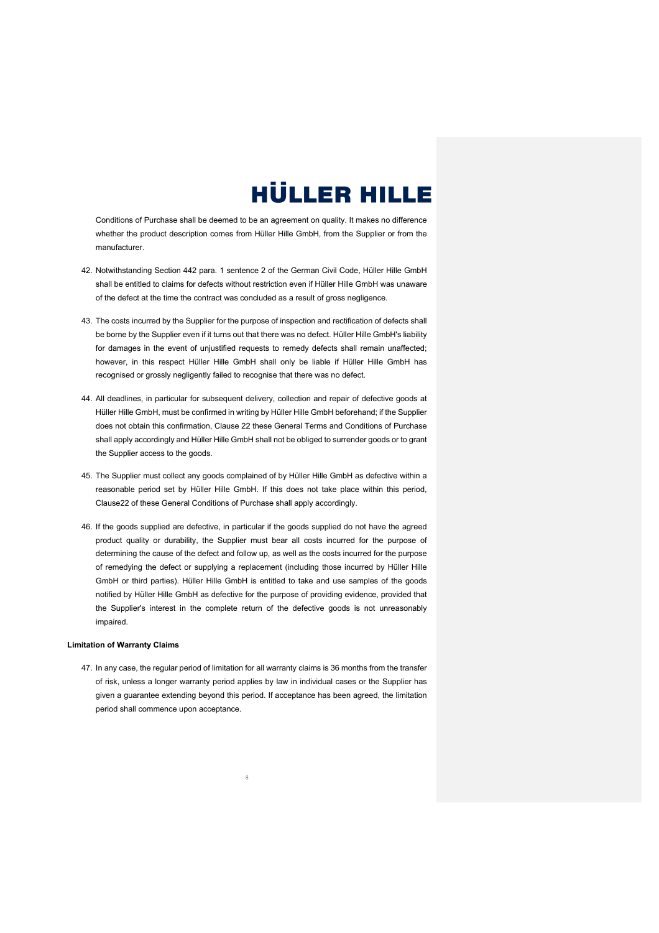Conditions of Purchase shall be deemed to be an agreement on quality. It makes no difference whether the product description comes from Hüller Hille GmbH, from the Supplier or from the manufacturer.

- 42. Notwithstanding Section 442 para. 1 sentence 2 of the German Civil Code, Hüller Hille GmbH shall be entitled to claims for defects without restriction even if Hüller Hille GmbH was unaware of the defect at the time the contract was concluded as a result of gross negligence.
- 43. The costs incurred by the Supplier for the purpose of inspection and rectification of defects shall be borne by the Supplier even if it turns out that there was no defect. Hüller Hille GmbH's liability for damages in the event of unjustified requests to remedy defects shall remain unaffected; however, in this respect Hüller Hille GmbH shall only be liable if Hüller Hille GmbH has recognised or grossly negligently failed to recognise that there was no defect.
- 44. All deadlines, in particular for subsequent delivery, collection and repair of defective goods at Hüller Hille GmbH, must be confirmed in writing by Hüller Hille GmbH beforehand; if the Supplier does not obtain this confirmation, Clause 22 these General Terms and Conditions of Purchase shall apply accordingly and Hüller Hille GmbH shall not be obliged to surrender goods or to grant the Supplier access to the goods.
- 45. The Supplier must collect any goods complained of by Hüller Hille GmbH as defective within a reasonable period set by Hüller Hille GmbH. If this does not take place within this period, Clause22 of these General Conditions of Purchase shall apply accordingly.
- 46. If the goods supplied are defective, in particular if the goods supplied do not have the agreed product quality or durability, the Supplier must bear all costs incurred for the purpose of determining the cause of the defect and follow up, as well as the costs incurred for the purpose of remedying the defect or supplying a replacement (including those incurred by Hüller Hille GmbH or third parties). Hüller Hille GmbH is entitled to take and use samples of the goods notified by Hüller Hille GmbH as defective for the purpose of providing evidence, provided that the Supplier's interest in the complete return of the defective goods is not unreasonably impaired.

#### **Limitation of Warranty Claims**

47. In any case, the regular period of limitation for all warranty claims is 36 months from the transfer of risk, unless a longer warranty period applies by law in individual cases or the Supplier has given a guarantee extending beyond this period. If acceptance has been agreed, the limitation period shall commence upon acceptance.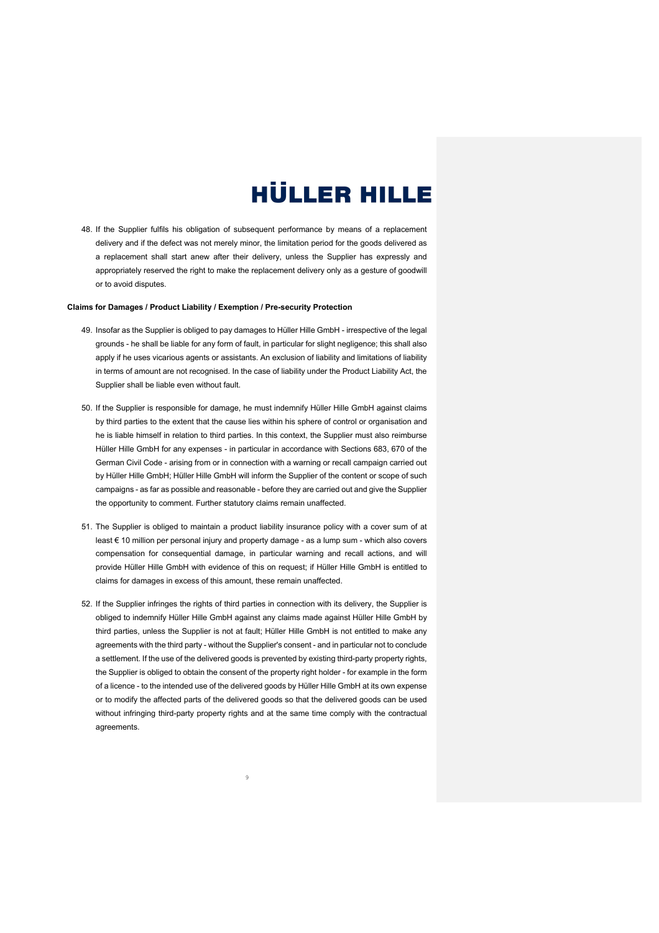48. If the Supplier fulfils his obligation of subsequent performance by means of a replacement delivery and if the defect was not merely minor, the limitation period for the goods delivered as a replacement shall start anew after their delivery, unless the Supplier has expressly and appropriately reserved the right to make the replacement delivery only as a gesture of goodwill or to avoid disputes.

#### **Claims for Damages / Product Liability / Exemption / Pre-security Protection**

- 49. Insofar as the Supplier is obliged to pay damages to Hüller Hille GmbH irrespective of the legal grounds - he shall be liable for any form of fault, in particular for slight negligence; this shall also apply if he uses vicarious agents or assistants. An exclusion of liability and limitations of liability in terms of amount are not recognised. In the case of liability under the Product Liability Act, the Supplier shall be liable even without fault.
- 50. If the Supplier is responsible for damage, he must indemnify Hüller Hille GmbH against claims by third parties to the extent that the cause lies within his sphere of control or organisation and he is liable himself in relation to third parties. In this context, the Supplier must also reimburse Hüller Hille GmbH for any expenses - in particular in accordance with Sections 683, 670 of the German Civil Code - arising from or in connection with a warning or recall campaign carried out by Hüller Hille GmbH; Hüller Hille GmbH will inform the Supplier of the content or scope of such campaigns - as far as possible and reasonable - before they are carried out and give the Supplier the opportunity to comment. Further statutory claims remain unaffected.
- 51. The Supplier is obliged to maintain a product liability insurance policy with a cover sum of at least € 10 million per personal injury and property damage - as a lump sum - which also covers compensation for consequential damage, in particular warning and recall actions, and will provide Hüller Hille GmbH with evidence of this on request; if Hüller Hille GmbH is entitled to claims for damages in excess of this amount, these remain unaffected.
- 52. If the Supplier infringes the rights of third parties in connection with its delivery, the Supplier is obliged to indemnify Hüller Hille GmbH against any claims made against Hüller Hille GmbH by third parties, unless the Supplier is not at fault; Hüller Hille GmbH is not entitled to make any agreements with the third party - without the Supplier's consent - and in particular not to conclude a settlement. If the use of the delivered goods is prevented by existing third-party property rights, the Supplier is obliged to obtain the consent of the property right holder - for example in the form of a licence - to the intended use of the delivered goods by Hüller Hille GmbH at its own expense or to modify the affected parts of the delivered goods so that the delivered goods can be used without infringing third-party property rights and at the same time comply with the contractual agreements.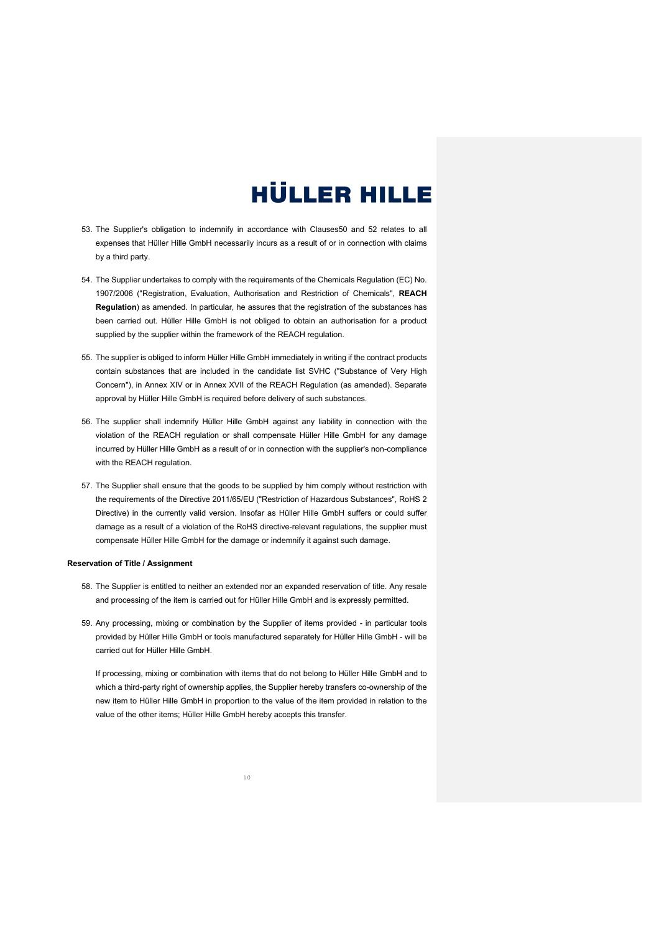- 53. The Supplier's obligation to indemnify in accordance with Clauses50 and 52 relates to all expenses that Hüller Hille GmbH necessarily incurs as a result of or in connection with claims by a third party.
- 54. The Supplier undertakes to comply with the requirements of the Chemicals Regulation (EC) No. 1907/2006 ("Registration, Evaluation, Authorisation and Restriction of Chemicals", **REACH Regulation**) as amended. In particular, he assures that the registration of the substances has been carried out. Hüller Hille GmbH is not obliged to obtain an authorisation for a product supplied by the supplier within the framework of the REACH regulation.
- 55. The supplier is obliged to inform Hüller Hille GmbH immediately in writing if the contract products contain substances that are included in the candidate list SVHC ("Substance of Very High Concern"), in Annex XIV or in Annex XVII of the REACH Regulation (as amended). Separate approval by Hüller Hille GmbH is required before delivery of such substances.
- 56. The supplier shall indemnify Hüller Hille GmbH against any liability in connection with the violation of the REACH regulation or shall compensate Hüller Hille GmbH for any damage incurred by Hüller Hille GmbH as a result of or in connection with the supplier's non-compliance with the REACH regulation.
- 57. The Supplier shall ensure that the goods to be supplied by him comply without restriction with the requirements of the Directive 2011/65/EU ("Restriction of Hazardous Substances", RoHS 2 Directive) in the currently valid version. Insofar as Hüller Hille GmbH suffers or could suffer damage as a result of a violation of the RoHS directive-relevant regulations, the supplier must compensate Hüller Hille GmbH for the damage or indemnify it against such damage.

#### **Reservation of Title / Assignment**

- 58. The Supplier is entitled to neither an extended nor an expanded reservation of title. Any resale and processing of the item is carried out for Hüller Hille GmbH and is expressly permitted.
- 59. Any processing, mixing or combination by the Supplier of items provided in particular tools provided by Hüller Hille GmbH or tools manufactured separately for Hüller Hille GmbH - will be carried out for Hüller Hille GmbH.

If processing, mixing or combination with items that do not belong to Hüller Hille GmbH and to which a third-party right of ownership applies, the Supplier hereby transfers co-ownership of the new item to Hüller Hille GmbH in proportion to the value of the item provided in relation to the value of the other items; Hüller Hille GmbH hereby accepts this transfer.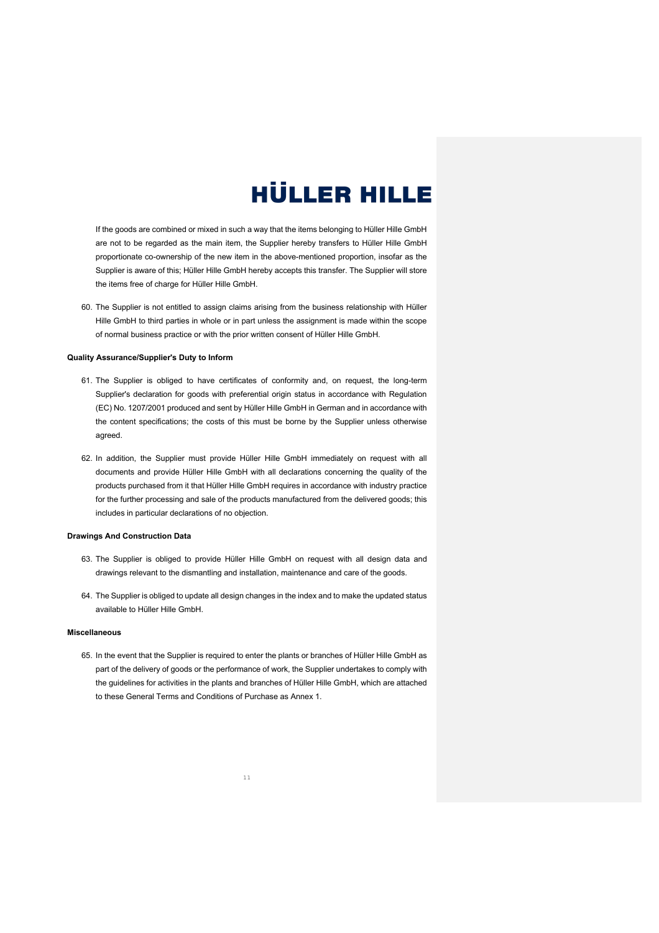If the goods are combined or mixed in such a way that the items belonging to Hüller Hille GmbH are not to be regarded as the main item, the Supplier hereby transfers to Hüller Hille GmbH proportionate co-ownership of the new item in the above-mentioned proportion, insofar as the Supplier is aware of this; Hüller Hille GmbH hereby accepts this transfer. The Supplier will store the items free of charge for Hüller Hille GmbH.

60. The Supplier is not entitled to assign claims arising from the business relationship with Hüller Hille GmbH to third parties in whole or in part unless the assignment is made within the scope of normal business practice or with the prior written consent of Hüller Hille GmbH.

#### **Quality Assurance/Supplier's Duty to Inform**

- 61. The Supplier is obliged to have certificates of conformity and, on request, the long-term Supplier's declaration for goods with preferential origin status in accordance with Regulation (EC) No. 1207/2001 produced and sent by Hüller Hille GmbH in German and in accordance with the content specifications; the costs of this must be borne by the Supplier unless otherwise agreed
- 62. In addition, the Supplier must provide Hüller Hille GmbH immediately on request with all documents and provide Hüller Hille GmbH with all declarations concerning the quality of the products purchased from it that Hüller Hille GmbH requires in accordance with industry practice for the further processing and sale of the products manufactured from the delivered goods; this includes in particular declarations of no objection.

#### **Drawings And Construction Data**

- 63. The Supplier is obliged to provide Hüller Hille GmbH on request with all design data and drawings relevant to the dismantling and installation, maintenance and care of the goods.
- 64. The Supplier is obliged to update all design changes in the index and to make the updated status available to Hüller Hille GmbH.

#### **Miscellaneous**

65. In the event that the Supplier is required to enter the plants or branches of Hüller Hille GmbH as part of the delivery of goods or the performance of work, the Supplier undertakes to comply with the guidelines for activities in the plants and branches of Hüller Hille GmbH, which are attached to these General Terms and Conditions of Purchase as Annex 1.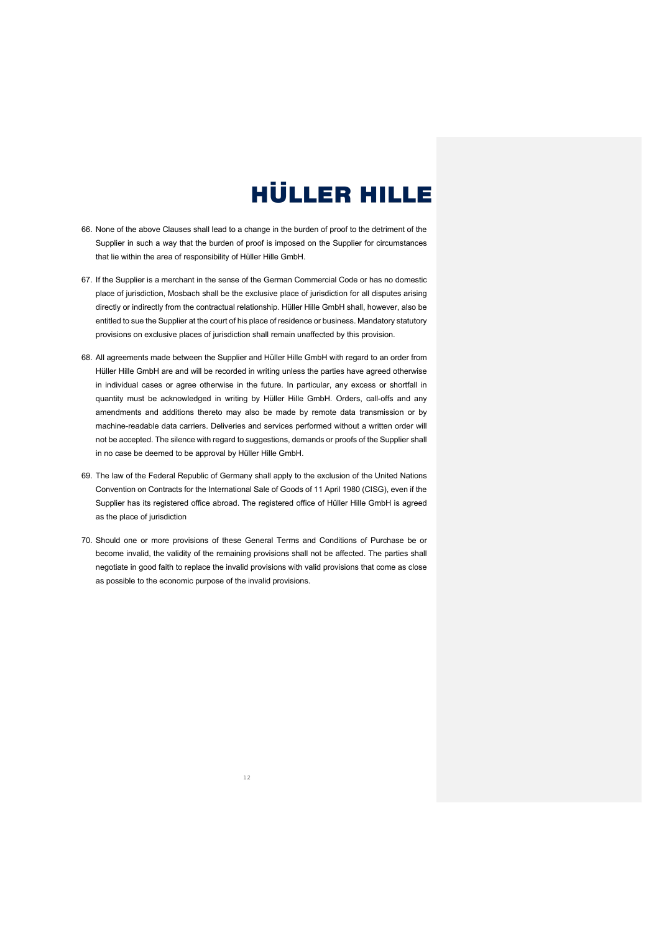- 66. None of the above Clauses shall lead to a change in the burden of proof to the detriment of the Supplier in such a way that the burden of proof is imposed on the Supplier for circumstances that lie within the area of responsibility of Hüller Hille GmbH.
- 67. If the Supplier is a merchant in the sense of the German Commercial Code or has no domestic place of jurisdiction, Mosbach shall be the exclusive place of jurisdiction for all disputes arising directly or indirectly from the contractual relationship. Hüller Hille GmbH shall, however, also be entitled to sue the Supplier at the court of his place of residence or business. Mandatory statutory provisions on exclusive places of jurisdiction shall remain unaffected by this provision.
- 68. All agreements made between the Supplier and Hüller Hille GmbH with regard to an order from Hüller Hille GmbH are and will be recorded in writing unless the parties have agreed otherwise in individual cases or agree otherwise in the future. In particular, any excess or shortfall in quantity must be acknowledged in writing by Hüller Hille GmbH. Orders, call-offs and any amendments and additions thereto may also be made by remote data transmission or by machine-readable data carriers. Deliveries and services performed without a written order will not be accepted. The silence with regard to suggestions, demands or proofs of the Supplier shall in no case be deemed to be approval by Hüller Hille GmbH.
- 69. The law of the Federal Republic of Germany shall apply to the exclusion of the United Nations Convention on Contracts for the International Sale of Goods of 11 April 1980 (CISG), even if the Supplier has its registered office abroad. The registered office of Hüller Hille GmbH is agreed as the place of jurisdiction
- 70. Should one or more provisions of these General Terms and Conditions of Purchase be or become invalid, the validity of the remaining provisions shall not be affected. The parties shall negotiate in good faith to replace the invalid provisions with valid provisions that come as close as possible to the economic purpose of the invalid provisions.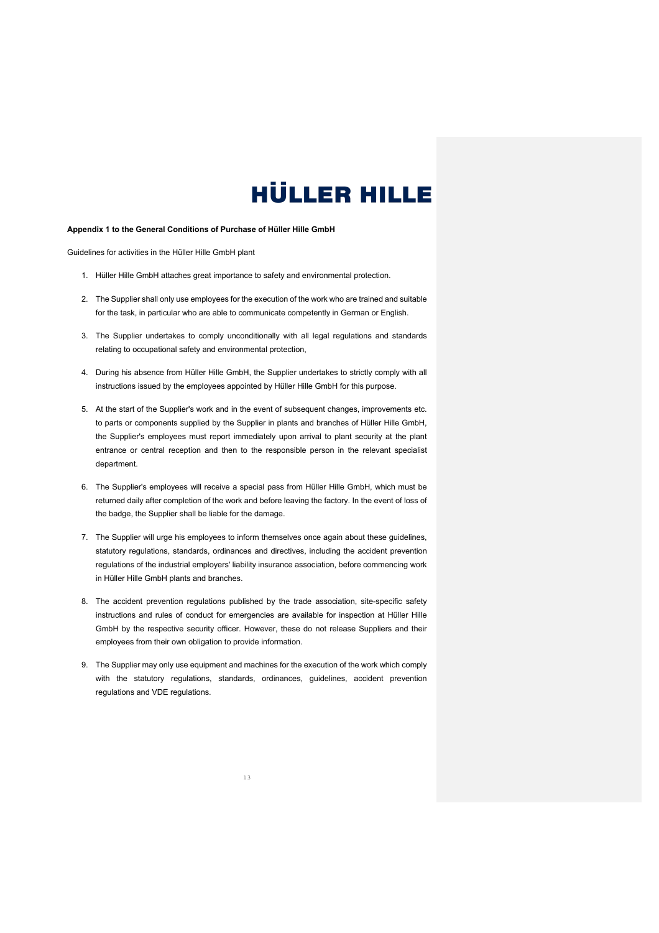#### **Appendix 1 to the General Conditions of Purchase of Hüller Hille GmbH**

Guidelines for activities in the Hüller Hille GmbH plant

- 1. Hüller Hille GmbH attaches great importance to safety and environmental protection.
- 2. The Supplier shall only use employees for the execution of the work who are trained and suitable for the task, in particular who are able to communicate competently in German or English.
- 3. The Supplier undertakes to comply unconditionally with all legal regulations and standards relating to occupational safety and environmental protection,
- 4. During his absence from Hüller Hille GmbH, the Supplier undertakes to strictly comply with all instructions issued by the employees appointed by Hüller Hille GmbH for this purpose.
- 5. At the start of the Supplier's work and in the event of subsequent changes, improvements etc. to parts or components supplied by the Supplier in plants and branches of Hüller Hille GmbH, the Supplier's employees must report immediately upon arrival to plant security at the plant entrance or central reception and then to the responsible person in the relevant specialist department.
- 6. The Supplier's employees will receive a special pass from Hüller Hille GmbH, which must be returned daily after completion of the work and before leaving the factory. In the event of loss of the badge, the Supplier shall be liable for the damage.
- 7. The Supplier will urge his employees to inform themselves once again about these guidelines, statutory regulations, standards, ordinances and directives, including the accident prevention regulations of the industrial employers' liability insurance association, before commencing work in Hüller Hille GmbH plants and branches.
- 8. The accident prevention regulations published by the trade association, site-specific safety instructions and rules of conduct for emergencies are available for inspection at Hüller Hille GmbH by the respective security officer. However, these do not release Suppliers and their employees from their own obligation to provide information.
- 9. The Supplier may only use equipment and machines for the execution of the work which comply with the statutory regulations, standards, ordinances, guidelines, accident prevention regulations and VDE regulations.